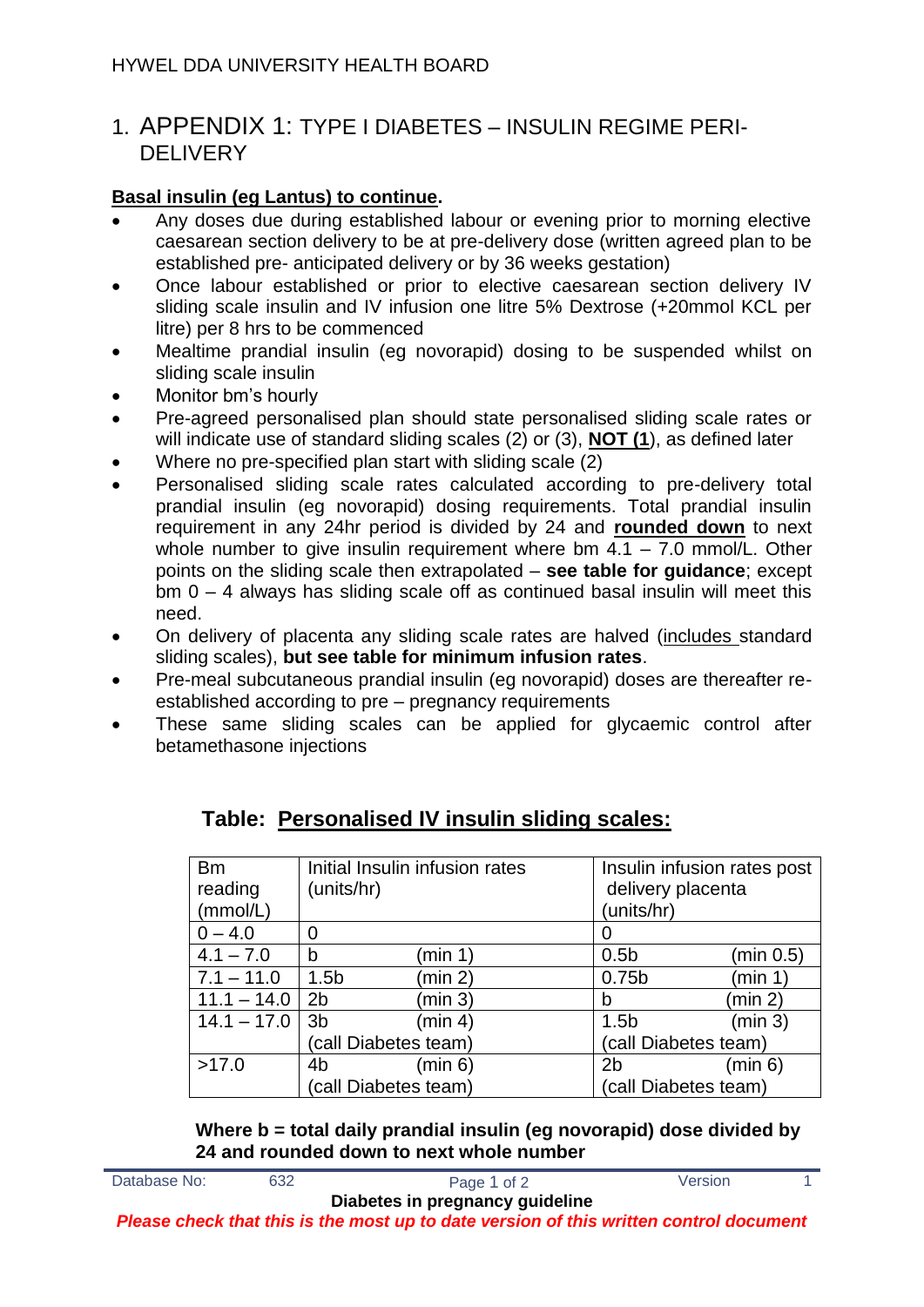1. APPENDIX 1: TYPE I DIABETES – INSULIN REGIME PERI-DELIVERY

## **Basal insulin (eg Lantus) to continue.**

- Any doses due during established labour or evening prior to morning elective caesarean section delivery to be at pre-delivery dose (written agreed plan to be established pre- anticipated delivery or by 36 weeks gestation)
- Once labour established or prior to elective caesarean section delivery IV sliding scale insulin and IV infusion one litre 5% Dextrose (+20mmol KCL per litre) per 8 hrs to be commenced
- Mealtime prandial insulin (eg novorapid) dosing to be suspended whilst on sliding scale insulin
- Monitor bm's hourly
- Pre-agreed personalised plan should state personalised sliding scale rates or will indicate use of standard sliding scales (2) or (3), **NOT (1**), as defined later
- Where no pre-specified plan start with sliding scale (2)
- Personalised sliding scale rates calculated according to pre-delivery total prandial insulin (eg novorapid) dosing requirements. Total prandial insulin requirement in any 24hr period is divided by 24 and **rounded down** to next whole number to give insulin requirement where bm 4.1 – 7.0 mmol/L. Other points on the sliding scale then extrapolated – **see table for guidance**; except bm 0 – 4 always has sliding scale off as continued basal insulin will meet this need.
- On delivery of placenta any sliding scale rates are halved (includes standard sliding scales), **but see table for minimum infusion rates**.
- Pre-meal subcutaneous prandial insulin (eg novorapid) doses are thereafter reestablished according to pre – pregnancy requirements
- These same sliding scales can be applied for glycaemic control after betamethasone injections

| <b>Bm</b>     | Initial Insulin infusion rates |  | Insulin infusion rates post |           |
|---------------|--------------------------------|--|-----------------------------|-----------|
| reading       | (units/hr)                     |  | delivery placenta           |           |
| (mmol/L)      |                                |  | (units/hr)                  |           |
| $0 - 4.0$     | 0                              |  |                             |           |
| $4.1 - 7.0$   | (min 1)<br>b                   |  | 0.5 <sub>b</sub>            | (min 0.5) |
| $7.1 - 11.0$  | 1.5 <sub>b</sub><br>(min 2)    |  | 0.75 <sub>b</sub>           | (min 1)   |
| $11.1 - 14.0$ | 2 <sub>b</sub><br>(min 3)      |  | b                           | (min 2)   |
| $14.1 - 17.0$ | 3 <sub>b</sub><br>(min 4)      |  | 1.5 <sub>b</sub>            | (min 3)   |
|               | (call Diabetes team)           |  | (call Diabetes team)        |           |
| >17.0         | 4b<br>(min 6)                  |  | 2 <sub>b</sub>              | (min 6)   |
|               | (call Diabetes team)           |  | (call Diabetes team)        |           |

**Where b = total daily prandial insulin (eg novorapid) dose divided by 24 and rounded down to next whole number**

| Database No:                                                                           | 632 | Page 1 of 2 | Version |  |  |  |  |  |
|----------------------------------------------------------------------------------------|-----|-------------|---------|--|--|--|--|--|
| Diabetes in pregnancy guideline                                                        |     |             |         |  |  |  |  |  |
| Please check that this is the most up to date version of this written control document |     |             |         |  |  |  |  |  |